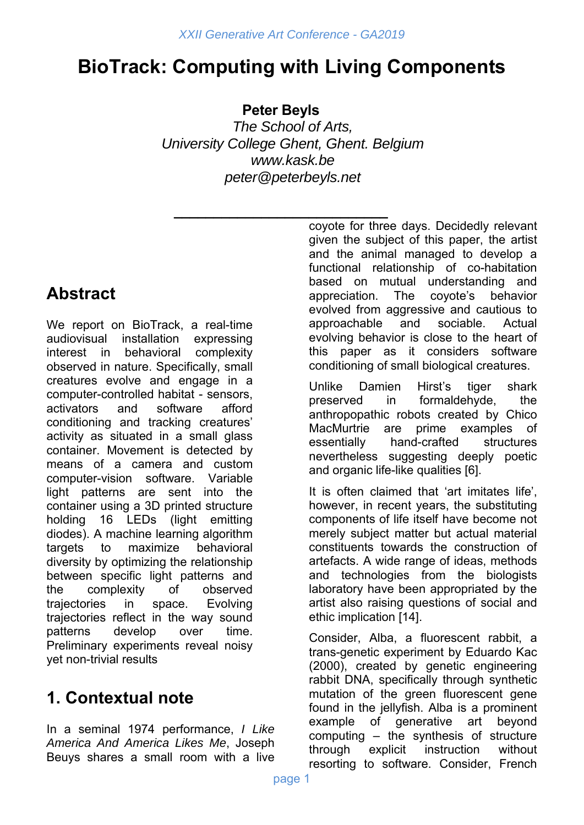# **BioTrack: Computing with Living Components**

**Peter Beyls** 

*The School of Arts, University College Ghent, Ghent. Belgium www.kask.be peter@peterbeyls.net* 

## **Abstract**

We report on BioTrack, a real-time audiovisual installation expressing interest in behavioral complexity observed in nature. Specifically, small creatures evolve and engage in a computer-controlled habitat - sensors, activators and software afford conditioning and tracking creatures' activity as situated in a small glass container. Movement is detected by means of a camera and custom computer-vision software. Variable light patterns are sent into the container using a 3D printed structure holding 16 LEDs (light emitting diodes). A machine learning algorithm targets to maximize behavioral diversity by optimizing the relationship between specific light patterns and the complexity of observed trajectories in space. Evolving trajectories reflect in the way sound patterns develop over time. Preliminary experiments reveal noisy yet non-trivial results

## **1. Contextual note**

In a seminal 1974 performance, *I Like America And America Likes Me*, Joseph Beuys shares a small room with a live

**\_\_\_\_\_\_\_\_\_\_\_\_\_\_\_\_\_\_\_\_\_\_\_\_\_\_\_** coyote for three days. Decidedly relevant given the subject of this paper, the artist and the animal managed to develop a functional relationship of co-habitation based on mutual understanding and appreciation. The coyote's behavior evolved from aggressive and cautious to approachable and sociable. Actual evolving behavior is close to the heart of this paper as it considers software conditioning of small biological creatures.

> Unlike Damien Hirst's tiger shark preserved in formaldehyde, the anthropopathic robots created by Chico MacMurtrie are prime examples of essentially hand-crafted structures nevertheless suggesting deeply poetic and organic life-like qualities [6].

> It is often claimed that 'art imitates life', however, in recent years, the substituting components of life itself have become not merely subject matter but actual material constituents towards the construction of artefacts. A wide range of ideas, methods and technologies from the biologists laboratory have been appropriated by the artist also raising questions of social and ethic implication [14].

> Consider, Alba, a fluorescent rabbit, a trans-genetic experiment by Eduardo Kac (2000), created by genetic engineering rabbit DNA, specifically through synthetic mutation of the green fluorescent gene found in the jellyfish. Alba is a prominent example of generative art beyond computing – the synthesis of structure through explicit instruction without resorting to software. Consider, French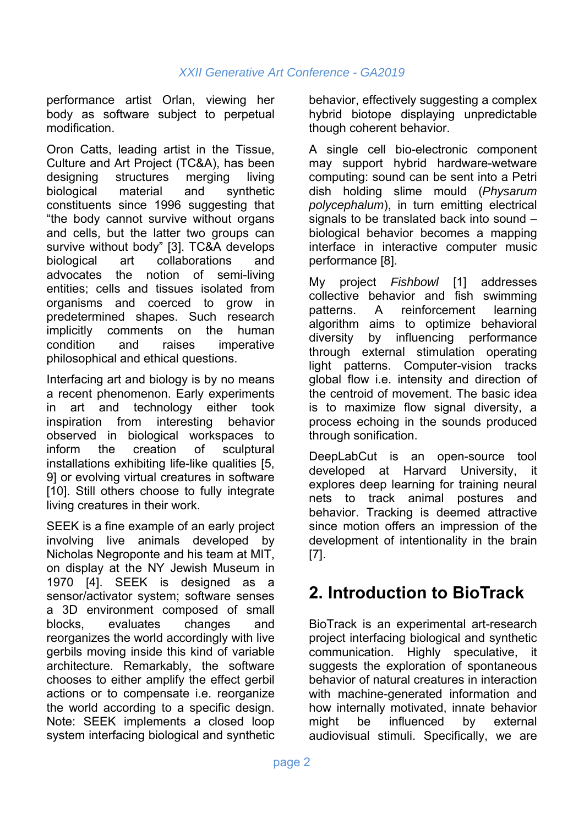performance artist Orlan, viewing her body as software subject to perpetual modification.

Oron Catts, leading artist in the Tissue, Culture and Art Project (TC&A), has been designing structures merging living biological material and synthetic constituents since 1996 suggesting that "the body cannot survive without organs and cells, but the latter two groups can survive without body" [3]. TC&A develops biological art collaborations and advocates the notion of semi-living entities; cells and tissues isolated from organisms and coerced to grow in predetermined shapes. Such research implicitly comments on the human condition and raises imperative philosophical and ethical questions.

Interfacing art and biology is by no means a recent phenomenon. Early experiments in art and technology either took inspiration from interesting behavior observed in biological workspaces to inform the creation of sculptural installations exhibiting life-like qualities [5, 9] or evolving virtual creatures in software [10]. Still others choose to fully integrate living creatures in their work.

SEEK is a fine example of an early project involving live animals developed by Nicholas Negroponte and his team at MIT, on display at the NY Jewish Museum in 1970 [4]. SEEK is designed as a sensor/activator system; software senses a 3D environment composed of small blocks, evaluates changes and reorganizes the world accordingly with live gerbils moving inside this kind of variable architecture. Remarkably, the software chooses to either amplify the effect gerbil actions or to compensate i.e. reorganize the world according to a specific design. Note: SEEK implements a closed loop system interfacing biological and synthetic

behavior, effectively suggesting a complex hybrid biotope displaying unpredictable though coherent behavior.

A single cell bio-electronic component may support hybrid hardware-wetware computing: sound can be sent into a Petri dish holding slime mould (*Physarum polycephalum*), in turn emitting electrical signals to be translated back into sound – biological behavior becomes a mapping interface in interactive computer music performance [8].

My project *Fishbowl* [1] addresses collective behavior and fish swimming patterns. A reinforcement learning algorithm aims to optimize behavioral diversity by influencing performance through external stimulation operating light patterns. Computer-vision tracks global flow i.e. intensity and direction of the centroid of movement. The basic idea is to maximize flow signal diversity, a process echoing in the sounds produced through sonification.

DeepLabCut is an open-source tool developed at Harvard University, it explores deep learning for training neural nets to track animal postures and behavior. Tracking is deemed attractive since motion offers an impression of the development of intentionality in the brain [7].

## **2. Introduction to BioTrack**

BioTrack is an experimental art-research project interfacing biological and synthetic communication. Highly speculative, suggests the exploration of spontaneous behavior of natural creatures in interaction with machine-generated information and how internally motivated, innate behavior might be influenced by external audiovisual stimuli. Specifically, we are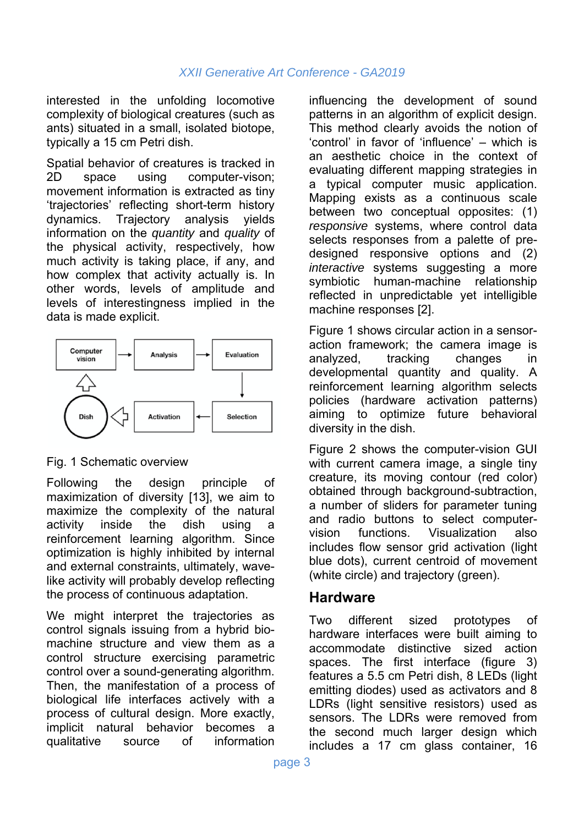interested in the unfolding locomotive complexity of biological creatures (such as ants) situated in a small, isolated biotope, typically a 15 cm Petri dish.

Spatial behavior of creatures is tracked in 2D space using computer-vison; movement information is extracted as tiny 'trajectories' reflecting short-term history dynamics. Trajectory analysis yields information on the *quantity* and *quality* of the physical activity, respectively, how much activity is taking place, if any, and how complex that activity actually is. In other words, levels of amplitude and levels of interestingness implied in the data is made explicit.



### Fig. 1 Schematic overview

Following the design principle of maximization of diversity [13], we aim to maximize the complexity of the natural activity inside the dish using a reinforcement learning algorithm. Since optimization is highly inhibited by internal and external constraints, ultimately, wavelike activity will probably develop reflecting the process of continuous adaptation.

We might interpret the trajectories as control signals issuing from a hybrid biomachine structure and view them as a control structure exercising parametric control over a sound-generating algorithm. Then, the manifestation of a process of biological life interfaces actively with a process of cultural design. More exactly, implicit natural behavior becomes a qualitative source of information influencing the development of sound patterns in an algorithm of explicit design. This method clearly avoids the notion of 'control' in favor of 'influence' – which is an aesthetic choice in the context of evaluating different mapping strategies in a typical computer music application. Mapping exists as a continuous scale between two conceptual opposites: (1) *responsive* systems, where control data selects responses from a palette of predesigned responsive options and (2) *interactive* systems suggesting a more symbiotic human-machine relationship reflected in unpredictable yet intelligible machine responses [2].

Figure 1 shows circular action in a sensoraction framework; the camera image is analyzed, tracking changes in developmental quantity and quality. A reinforcement learning algorithm selects policies (hardware activation patterns) aiming to optimize future behavioral diversity in the dish.

Figure 2 shows the computer-vision GUI with current camera image, a single tiny creature, its moving contour (red color) obtained through background-subtraction, a number of sliders for parameter tuning and radio buttons to select computervision functions. Visualization also includes flow sensor grid activation (light blue dots), current centroid of movement (white circle) and trajectory (green).

### **Hardware**

Two different sized prototypes of hardware interfaces were built aiming to accommodate distinctive sized action spaces. The first interface (figure 3) features a 5.5 cm Petri dish, 8 LEDs (light emitting diodes) used as activators and 8 LDRs (light sensitive resistors) used as sensors. The LDRs were removed from the second much larger design which includes a 17 cm glass container, 16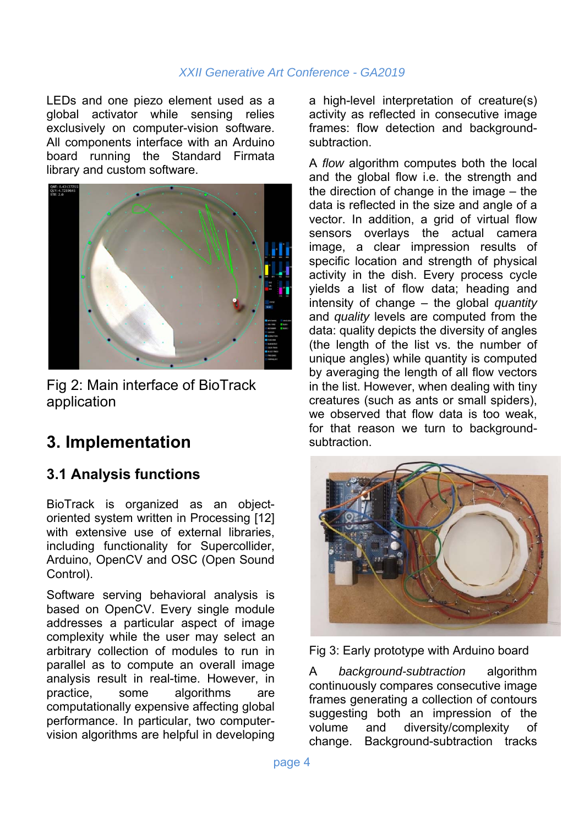LEDs and one piezo element used as a global activator while sensing relies exclusively on computer-vision software. All components interface with an Arduino board running the Standard Firmata library and custom software.



Fig 2: Main interface of BioTrack application

## **3. Implementation**

### **3.1 Analysis functions**

BioTrack is organized as an objectoriented system written in Processing [12] with extensive use of external libraries, including functionality for Supercollider, Arduino, OpenCV and OSC (Open Sound Control).

Software serving behavioral analysis is based on OpenCV. Every single module addresses a particular aspect of image complexity while the user may select an arbitrary collection of modules to run in parallel as to compute an overall image analysis result in real-time. However, in practice, some algorithms are computationally expensive affecting global performance. In particular, two computervision algorithms are helpful in developing a high-level interpretation of creature(s) activity as reflected in consecutive image frames: flow detection and backgroundsubtraction.

A *flow* algorithm computes both the local and the global flow i.e. the strength and the direction of change in the image – the data is reflected in the size and angle of a vector. In addition, a grid of virtual flow sensors overlays the actual camera image, a clear impression results of specific location and strength of physical activity in the dish. Every process cycle yields a list of flow data; heading and intensity of change – the global *quantity* and *quality* levels are computed from the data: quality depicts the diversity of angles (the length of the list vs. the number of unique angles) while quantity is computed by averaging the length of all flow vectors in the list. However, when dealing with tiny creatures (such as ants or small spiders), we observed that flow data is too weak, for that reason we turn to backgroundsubtraction.



Fig 3: Early prototype with Arduino board

A *background-subtraction* algorithm continuously compares consecutive image frames generating a collection of contours suggesting both an impression of the volume and diversity/complexity of change. Background-subtraction tracks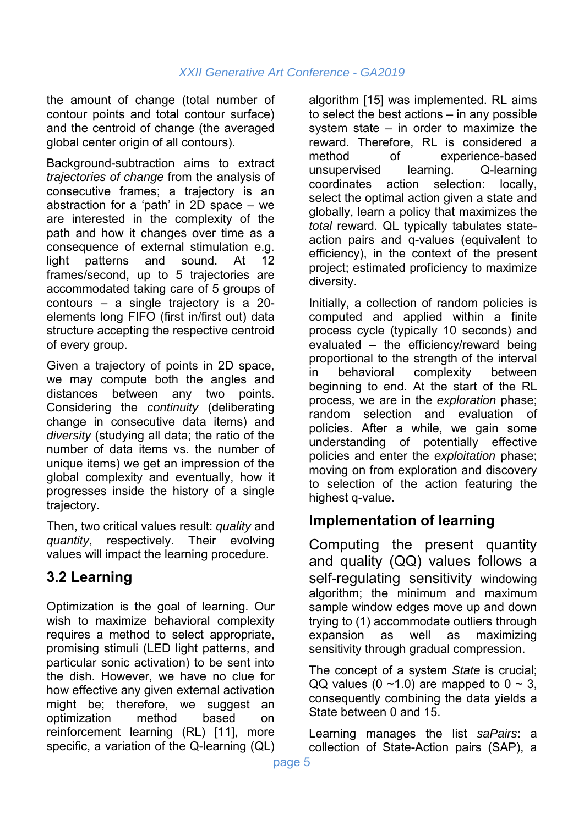the amount of change (total number of contour points and total contour surface) and the centroid of change (the averaged global center origin of all contours).

Background-subtraction aims to extract *trajectories of change* from the analysis of consecutive frames; a trajectory is an abstraction for a 'path' in 2D space – we are interested in the complexity of the path and how it changes over time as a consequence of external stimulation e.g. light patterns and sound. At 12 frames/second, up to 5 trajectories are accommodated taking care of 5 groups of contours – a single trajectory is a 20 elements long FIFO (first in/first out) data structure accepting the respective centroid of every group.

Given a trajectory of points in 2D space, we may compute both the angles and distances between any two points. Considering the *continuity* (deliberating change in consecutive data items) and *diversity* (studying all data; the ratio of the number of data items vs. the number of unique items) we get an impression of the global complexity and eventually, how it progresses inside the history of a single trajectory.

Then, two critical values result: *quality* and *quantity*, respectively. Their evolving values will impact the learning procedure.

### **3.2 Learning**

Optimization is the goal of learning. Our wish to maximize behavioral complexity requires a method to select appropriate, promising stimuli (LED light patterns, and particular sonic activation) to be sent into the dish. However, we have no clue for how effective any given external activation might be; therefore, we suggest an optimization method based on reinforcement learning (RL) [11], more specific, a variation of the Q-learning (QL)

algorithm [15] was implemented. RL aims to select the best actions – in any possible system state – in order to maximize the reward. Therefore, RL is considered a method of experience-based unsupervised learning. Q-learning coordinates action selection: locally, select the optimal action given a state and globally, learn a policy that maximizes the *total* reward. QL typically tabulates stateaction pairs and q-values (equivalent to efficiency), in the context of the present project; estimated proficiency to maximize diversity.

Initially, a collection of random policies is computed and applied within a finite process cycle (typically 10 seconds) and evaluated – the efficiency/reward being proportional to the strength of the interval in behavioral complexity between beginning to end. At the start of the RL process, we are in the *exploration* phase; random selection and evaluation of policies. After a while, we gain some understanding of potentially effective policies and enter the *exploitation* phase; moving on from exploration and discovery to selection of the action featuring the highest q-value.

### **Implementation of learning**

Computing the present quantity and quality (QQ) values follows a self-regulating sensitivity windowing algorithm; the minimum and maximum sample window edges move up and down trying to (1) accommodate outliers through expansion as well as maximizing sensitivity through gradual compression.

The concept of a system *State* is crucial; QQ values (0  $\sim$ 1.0) are mapped to 0  $\sim$  3, consequently combining the data yields a State between 0 and 15.

Learning manages the list *saPairs*: a collection of State-Action pairs (SAP), a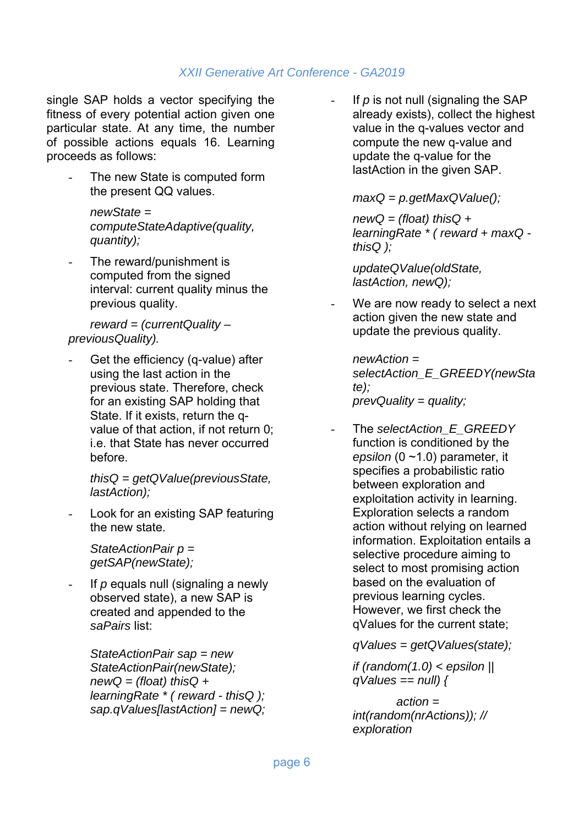single SAP holds a vector specifying the fitness of every potential action given one particular state. At any time, the number of possible actions equals 16. Learning proceeds as follows:

The new State is computed form the present QQ values.

> *newState = computeStateAdaptive(quality, quantity);*

The reward/punishment is computed from the signed interval: current quality minus the previous quality.

*reward = (currentQuality – previousQuality).* 

Get the efficiency (q-value) after using the last action in the previous state. Therefore, check for an existing SAP holding that State. If it exists, return the qvalue of that action, if not return 0; i.e. that State has never occurred before.

> *thisQ = getQValue(previousState, lastAction);*

Look for an existing SAP featuring the new state.

> *StateActionPair p = getSAP(newState);*

If p equals null (signaling a newly observed state), a new SAP is created and appended to the *saPairs* list:

*StateActionPair sap = new StateActionPair(newState); newQ = (float) thisQ + learningRate \* ( reward - thisQ ); sap.qValues[lastAction] = newQ;*  If *p* is not null (signaling the SAP already exists), collect the highest value in the q-values vector and compute the new q-value and update the q-value for the lastAction in the given SAP.

*maxQ = p.getMaxQValue();* 

*newQ = (float) thisQ + learningRate \* ( reward + maxQ thisQ );* 

*updateQValue(oldState, lastAction, newQ);* 

We are now ready to select a next action given the new state and update the previous quality.

*newAction = selectAction\_E\_GREEDY(newSta te); prevQuality = quality;* 

The *selectAction* E\_GREEDY function is conditioned by the *epsilon* (0 ~1.0) parameter, it specifies a probabilistic ratio between exploration and exploitation activity in learning. Exploration selects a random action without relying on learned information. Exploitation entails a selective procedure aiming to select to most promising action based on the evaluation of previous learning cycles. However, we first check the qValues for the current state;

*qValues = getQValues(state);* 

*if (random(1.0) < epsilon || qValues == null) {* 

 *action = int(random(nrActions)); // exploration*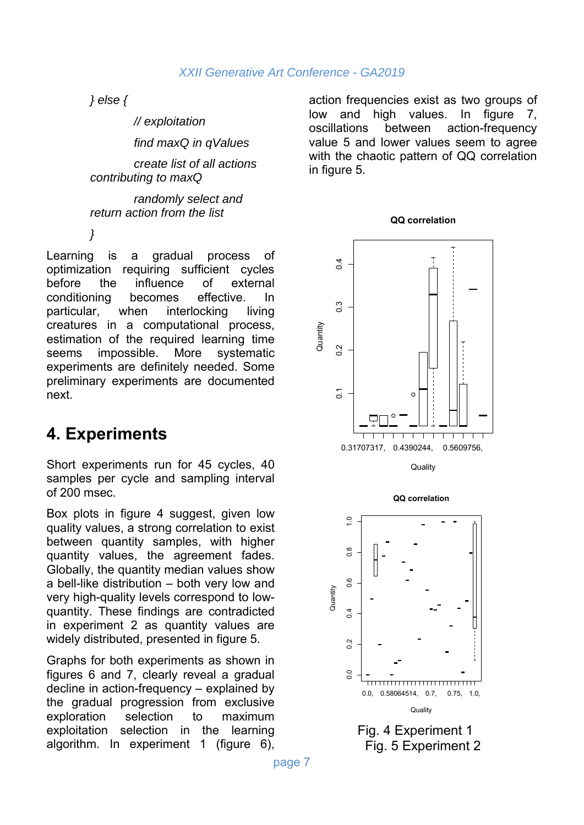*} else {* 

 *// exploitation find maxQ in qValues create list of all actions contributing to maxQ* 

 *randomly select and return action from the list* 

*}* 

Learning is a gradual process of optimization requiring sufficient cycles before the influence of external conditioning becomes effective. In particular, when interlocking living creatures in a computational process, estimation of the required learning time seems impossible. More systematic experiments are definitely needed. Some preliminary experiments are documented next.

## **4. Experiments**

Short experiments run for 45 cycles, 40 samples per cycle and sampling interval of 200 msec.

Box plots in figure 4 suggest, given low quality values, a strong correlation to exist between quantity samples, with higher quantity values, the agreement fades. Globally, the quantity median values show a bell-like distribution – both very low and very high-quality levels correspond to lowquantity. These findings are contradicted in experiment 2 as quantity values are widely distributed, presented in figure 5.

Graphs for both experiments as shown in figures 6 and 7, clearly reveal a gradual decline in action-frequency – explained by the gradual progression from exclusive exploration selection to maximum exploitation selection in the learning algorithm. In experiment 1 (figure 6),

action frequencies exist as two groups of low and high values. In figure 7, oscillations between action-frequency value 5 and lower values seem to agree with the chaotic pattern of QQ correlation in figure 5.

**QQ correlation**



**Quality** 



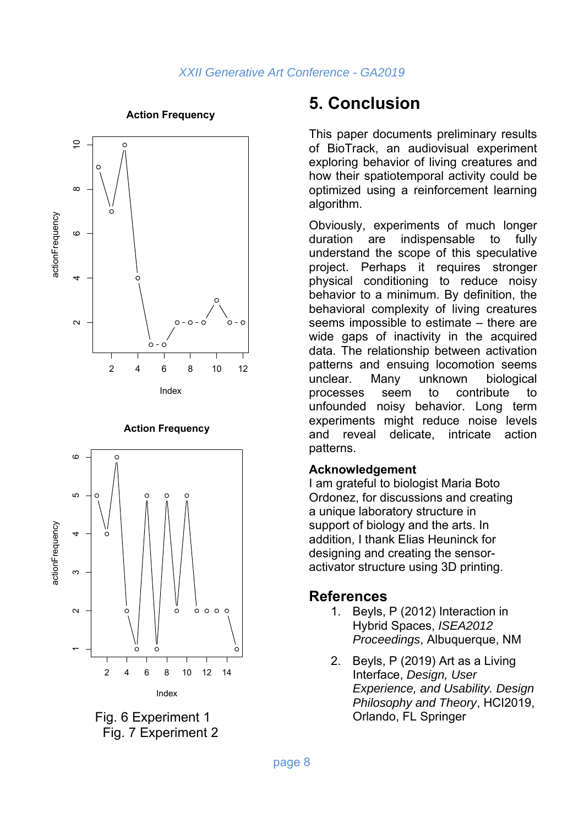

**Action Frequency**

#### **Action Frequency**





## **5. Conclusion**

This paper documents preliminary results of BioTrack, an audiovisual experiment exploring behavior of living creatures and how their spatiotemporal activity could be optimized using a reinforcement learning algorithm.

Obviously, experiments of much longer duration are indispensable to fully understand the scope of this speculative project. Perhaps it requires stronger physical conditioning to reduce noisy behavior to a minimum. By definition, the behavioral complexity of living creatures seems impossible to estimate – there are wide gaps of inactivity in the acquired data. The relationship between activation patterns and ensuing locomotion seems unclear. Many unknown biological processes seem to contribute to unfounded noisy behavior. Long term experiments might reduce noise levels and reveal delicate, intricate action patterns.

#### **Acknowledgement**

I am grateful to biologist Maria Boto Ordonez, for discussions and creating a unique laboratory structure in support of biology and the arts. In addition, I thank Elias Heuninck for designing and creating the sensoractivator structure using 3D printing.

### **References**

- 1. Beyls, P (2012) Interaction in Hybrid Spaces, *ISEA2012 Proceedings*, Albuquerque, NM
- 2. Beyls, P (2019) Art as a Living Interface, *Design, User Experience, and Usability. Design Philosophy and Theory*, HCI2019, Orlando, FL Springer